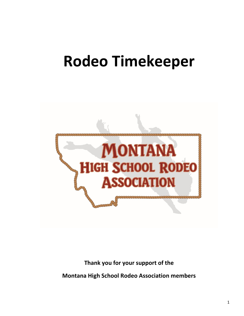# **Rodeo Timekeeper**



# **Thank you for your support of the**

**Montana High School Rodeo Association members**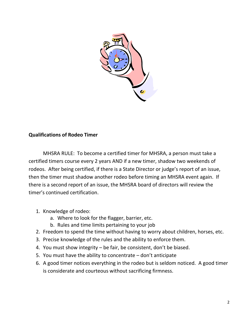

### **Qualifications of Rodeo Timer**

MHSRA RULE: To become a certified timer for MHSRA, a person must take a certified timers course every 2 years AND if a new timer, shadow two weekends of rodeos. After being certified, if there is a State Director or judge's report of an issue, then the timer must shadow another rodeo before timing an MHSRA event again. If there is a second report of an issue, the MHSRA board of directors will review the timer's continued certification.

- 1. Knowledge of rodeo:
	- a. Where to look for the flagger, barrier, etc.
	- b. Rules and time limits pertaining to your job
- 2. Freedom to spend the time without having to worry about children, horses, etc.
- 3. Precise knowledge of the rules and the ability to enforce them.
- 4. You must show integrity be fair, be consistent, don't be biased.
- 5. You must have the ability to concentrate don't anticipate
- 6. A good timer notices everything in the rodeo but is seldom noticed. A good timer is considerate and courteous without sacrificing firmness.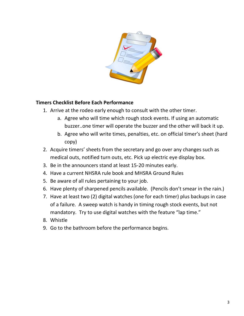

### **Timers Checklist Before Each Performance**

- 1. Arrive at the rodeo early enough to consult with the other timer.
	- a. Agree who will time which rough stock events. If using an automatic buzzer..one timer will operate the buzzer and the other will back it up.
	- b. Agree who will write times, penalties, etc. on official timer's sheet (hard copy)
- 2. Acquire timers' sheets from the secretary and go over any changes such as medical outs, notified turn outs, etc. Pick up electric eye display box.
- 3. Be in the announcers stand at least 15-20 minutes early.
- 4. Have a current NHSRA rule book and MHSRA Ground Rules
- 5. Be aware of all rules pertaining to your job.
- 6. Have plenty of sharpened pencils available. (Pencils don't smear in the rain.)
- 7. Have at least two (2) digital watches (one for each timer) plus backups in case of a failure. A sweep watch is handy in timing rough stock events, but not mandatory. Try to use digital watches with the feature "lap time."
- 8. Whistle
- 9. Go to the bathroom before the performance begins.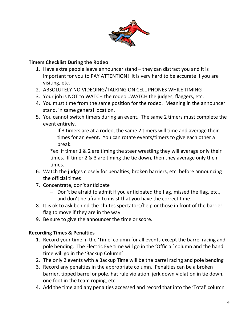

## **Timers Checklist During the Rodeo**

- 1. Have extra people leave announcer stand they can distract you and it is important for you to PAY ATTENTION! It is very hard to be accurate if you are visiting, etc.
- 2. ABSOLUTELY NO VIDEOING/TALKING ON CELL PHONES WHILE TIMING
- 3. Your job is NOT to WATCH the rodeo…WATCH the judges, flaggers, etc.
- 4. You must time from the same position for the rodeo. Meaning in the announcer stand, in same general location.
- 5. You cannot switch timers during an event. The same 2 timers must complete the event entirely.
	- If 3 timers are at a rodeo, the same 2 timers will time and average their times for an event. You can rotate events/timers to give each other a break.

\*ex: if timer 1 & 2 are timing the steer wrestling they will average only their times. If timer 2 & 3 are timing the tie down, then they average only their times.

- 6. Watch the judges closely for penalties, broken barriers, etc. before announcing the official times
- 7. Concentrate, don't anticipate
	- Don't be afraid to admit if you anticipated the flag, missed the flag, etc., and don't be afraid to insist that you have the correct time.
- 8. It is ok to ask behind-the-chutes spectators/help or those in front of the barrier flag to move if they are in the way.
- 9. Be sure to give the announcer the time or score.

# **Recording Times & Penalties**

- 1. Record your time in the 'Time' column for all events except the barrel racing and pole bending. The Electric Eye time will go in the 'Official' column and the hand time will go in the 'Backup Column'
- 2. The only 2 events with a Backup Time will be the barrel racing and pole bending
- 3. Record any penalties in the appropriate column. Penalties can be a broken barrier, tipped barrel or pole, hat rule violation, jerk down violation in tie down, one foot in the team roping, etc.
- 4. Add the time and any penalties accessed and record that into the 'Total' column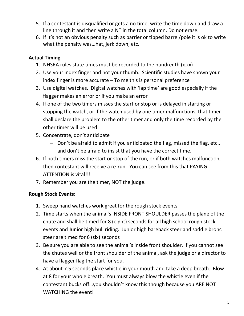- 5. If a contestant is disqualified or gets a no time, write the time down and draw a line through it and then write a NT in the total column. Do not erase.
- 6. If it's not an obvious penalty such as barrier or tipped barrel/pole it is ok to write what the penalty was…hat, jerk down, etc.

# **Actual Timing**

- 1. NHSRA rules state times must be recorded to the hundredth (x.xx)
- 2. Use your index finger and not your thumb. Scientific studies have shown your index finger is more accurate – To me this is personal preference
- 3. Use digital watches. Digital watches with 'lap time' are good especially if the flagger makes an error or if you make an error
- 4. If one of the two timers misses the start or stop or is delayed in starting or stopping the watch, or if the watch used by one timer malfunctions, that timer shall declare the problem to the other timer and only the time recorded by the other timer will be used.
- 5. Concentrate, don't anticipate
	- Don't be afraid to admit if you anticipated the flag, missed the flag, etc., and don't be afraid to insist that you have the correct time.
- 6. If both timers miss the start or stop of the run, or if both watches malfunction, then contestant will receive a re-run. You can see from this that PAYING ATTENTION is vital!!!
- 7. Remember you are the timer, NOT the judge.

# **Rough Stock Events:**

- 1. Sweep hand watches work great for the rough stock events
- 2. Time starts when the animal's INSIDE FRONT SHOULDER passes the plane of the chute and shall be timed for 8 (eight) seconds for all high school rough stock events and Junior high bull riding. Junior high bareback steer and saddle bronc steer are timed for 6 (six) seconds
- 3. Be sure you are able to see the animal's inside front shoulder. If you cannot see the chutes well or the front shoulder of the animal, ask the judge or a director to have a flagger flag the start for you.
- 4. At about 7.5 seconds place whistle in your mouth and take a deep breath. Blow at 8 for your whole breath. You must always blow the whistle even if the contestant bucks off…you shouldn't know this though because you ARE NOT WATCHING the event!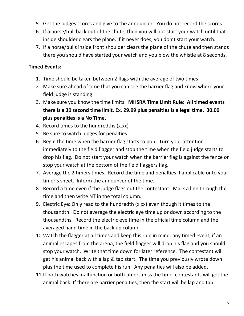- 5. Get the judges scores and give to the announcer. You do not record the scores
- 6. If a horse/bull back out of the chute, then you will not start your watch until that inside shoulder clears the plane. If it never does, you don't start your watch.
- 7. If a horse/bulls inside front shoulder clears the plane of the chute and then stands there you should have started your watch and you blow the whistle at 8 seconds.

### **Timed Events:**

- 1. Time should be taken between 2 flags with the average of two times
- 2. Make sure ahead of time that you can see the barrier flag and know where your field judge is standing
- 3. Make sure you know the time limits. **MHSRA Time Limit Rule: All timed events there is a 30 second time limit. Ex. 29.99 plus penalties is a legal time. 30.00 plus penalties is a No Time.**
- 4. Record times to the hundredths (x.xx)
- 5. Be sure to watch judges for penalties
- 6. Begin the time when the barrier flag starts to pop. Turn your attention immediately to the field flagger and stop the time when the field judge starts to drop his flag. Do not start your watch when the barrier flag is against the fence or stop your watch at the bottom of the field flaggers flag.
- 7. Average the 2 timers times. Record the time and penalties if applicable onto your timer's sheet. Inform the announcer of the time.
- 8. Record a time even if the judge flags out the contestant. Mark a line through the time and then write NT in the total column.
- 9. Electric Eye: Only read to the hundredth (x.xx) even though it times to the thousandth. Do not average the electric eye time up or down according to the thousandths. Record the electric eye time in the official time column and the averaged hand time in the back up column.
- 10.Watch the flagger at all times and keep this rule in mind: any timed event, if an animal escapes from the arena, the field flagger will drop his flag and you should stop your watch. Write that time down for later reference. The contestant will get his animal back with a lap & tap start. The time you previously wrote down plus the time used to complete his run. Any penalties will also be added.
- 11.If both watches malfunction or both timers miss the time, contestants will get the animal back. If there are barrier penalties, then the start will be lap and tap.